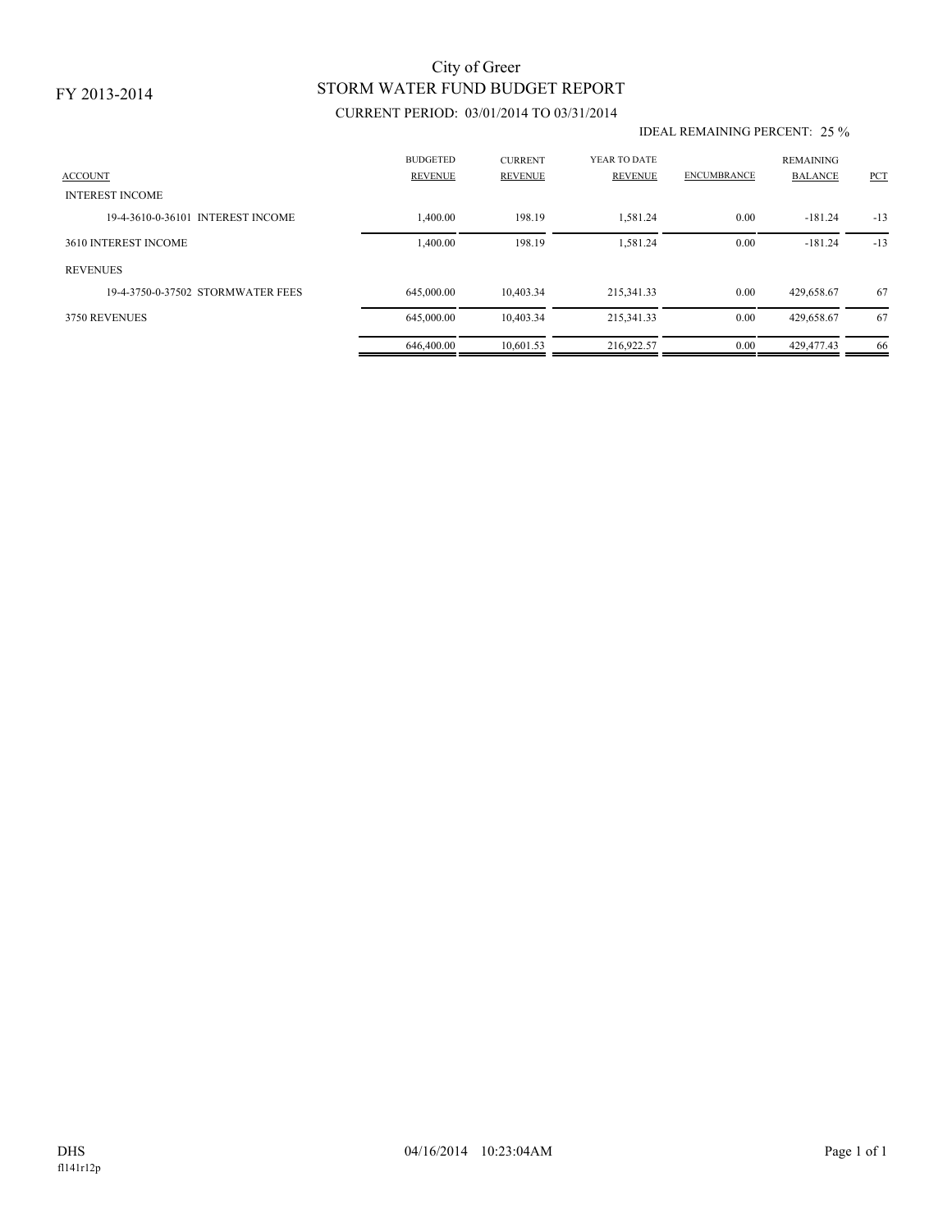# STORM WATER FUND BUDGET REPORT City of Greer

## CURRENT PERIOD: 03/01/2014 TO 03/31/2014

#### IDEAL REMAINING PERCENT: 25 %

| <b>ACCOUNT</b><br><b>INTEREST INCOME</b> | <b>BUDGETED</b><br><b>REVENUE</b> | <b>CURRENT</b><br><b>REVENUE</b> | YEAR TO DATE<br><b>REVENUE</b> | <b>ENCUMBRANCE</b> | <b>REMAINING</b><br><b>BALANCE</b> | PCT   |
|------------------------------------------|-----------------------------------|----------------------------------|--------------------------------|--------------------|------------------------------------|-------|
| 19-4-3610-0-36101 INTEREST INCOME        | 1,400.00                          | 198.19                           | 1,581.24                       | 0.00               | $-181.24$                          | $-13$ |
| 3610 INTEREST INCOME                     | 1,400.00                          | 198.19                           | 1.581.24                       | 0.00               | $-181.24$                          | $-13$ |
| <b>REVENUES</b>                          |                                   |                                  |                                |                    |                                    |       |
| 19-4-3750-0-37502 STORMWATER FEES        | 645,000.00                        | 10.403.34                        | 215,341.33                     | 0.00               | 429.658.67                         | 67    |
| 3750 REVENUES                            | 645,000.00                        | 10.403.34                        | 215,341.33                     | 0.00               | 429,658.67                         | 67    |
|                                          | 646,400.00                        | 10.601.53                        | 216,922.57                     | 0.00               | 429.477.43                         | -66   |